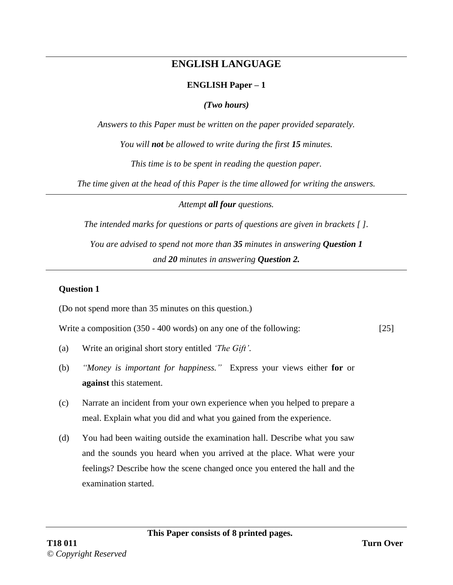# **ENGLISH LANGUAGE**

## **ENGLISH Paper – 1**

*(Two hours)*

*Answers to this Paper must be written on the paper provided separately.* 

*You will not be allowed to write during the first 15 minutes.* 

*This time is to be spent in reading the question paper.* 

*The time given at the head of this Paper is the time allowed for writing the answers.*

*Attempt all four questions.*

*The intended marks for questions or parts of questions are given in brackets [ ].* 

*You are advised to spend not more than 35 minutes in answering Question 1 and 20 minutes in answering Question 2.*

## **Question 1**

(Do not spend more than 35 minutes on this question.)

Write a composition (350 - 400 words) on any one of the following: [25]

- (a) Write an original short story entitled *'The Gift'*.
- (b) *"Money is important for happiness."* Express your views either **for** or **against** this statement.
- (c) Narrate an incident from your own experience when you helped to prepare a meal. Explain what you did and what you gained from the experience.
- (d) You had been waiting outside the examination hall. Describe what you saw and the sounds you heard when you arrived at the place. What were your feelings? Describe how the scene changed once you entered the hall and the examination started.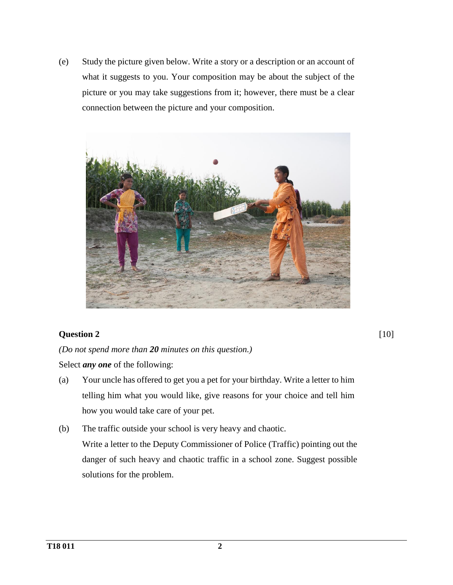(e) Study the picture given below. Write a story or a description or an account of what it suggests to you. Your composition may be about the subject of the picture or you may take suggestions from it; however, there must be a clear connection between the picture and your composition.



## **Question 2**

*(Do not spend more than 20 minutes on this question.)* 

Select *any one* of the following:

- (a) Your uncle has offered to get you a pet for your birthday. Write a letter to him telling him what you would like, give reasons for your choice and tell him how you would take care of your pet.
- (b) The traffic outside your school is very heavy and chaotic. Write a letter to the Deputy Commissioner of Police (Traffic) pointing out the danger of such heavy and chaotic traffic in a school zone. Suggest possible solutions for the problem.

[10]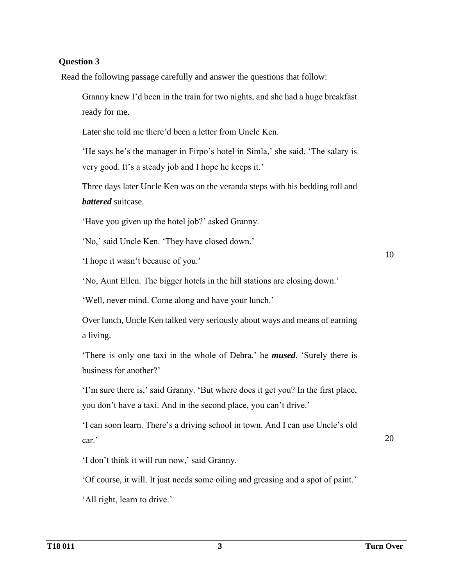## **Question 3**

Read the following passage carefully and answer the questions that follow:

Granny knew I'd been in the train for two nights, and she had a huge breakfast ready for me.

Later she told me there'd been a letter from Uncle Ken.

'He says he's the manager in Firpo's hotel in Simla,' she said. 'The salary is very good. It's a steady job and I hope he keeps it.'

Three days later Uncle Ken was on the veranda steps with his bedding roll and *battered* suitcase.

'Have you given up the hotel job?' asked Granny.

'No,' said Uncle Ken. 'They have closed down.'

'I hope it wasn't because of you.'

'No, Aunt Ellen. The bigger hotels in the hill stations are closing down.'

'Well, never mind. Come along and have your lunch.'

Over lunch, Uncle Ken talked very seriously about ways and means of earning a living.

'There is only one taxi in the whole of Dehra,' he *mused*. 'Surely there is business for another?'

'I'm sure there is,' said Granny. 'But where does it get you? In the first place, you don't have a taxi. And in the second place, you can't drive.'

'I can soon learn. There's a driving school in town. And I can use Uncle's old car.'

20

10

'I don't think it will run now,' said Granny.

'Of course, it will. It just needs some oiling and greasing and a spot of paint.'

'All right, learn to drive.'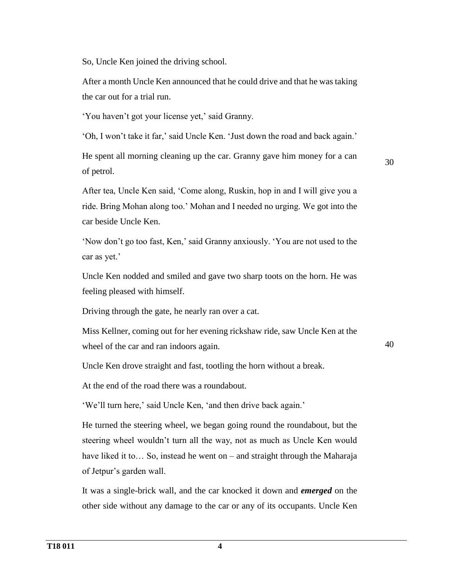So, Uncle Ken joined the driving school.

After a month Uncle Ken announced that he could drive and that he was taking the car out for a trial run.

'You haven't got your license yet,' said Granny.

'Oh, I won't take it far,' said Uncle Ken. 'Just down the road and back again.'

He spent all morning cleaning up the car. Granny gave him money for a can of petrol.

30

After tea, Uncle Ken said, 'Come along, Ruskin, hop in and I will give you a ride. Bring Mohan along too.' Mohan and I needed no urging. We got into the car beside Uncle Ken.

'Now don't go too fast, Ken,' said Granny anxiously. 'You are not used to the car as yet.'

Uncle Ken nodded and smiled and gave two sharp toots on the horn. He was feeling pleased with himself.

Driving through the gate, he nearly ran over a cat.

Miss Kellner, coming out for her evening rickshaw ride, saw Uncle Ken at the wheel of the car and ran indoors again.

40

Uncle Ken drove straight and fast, tootling the horn without a break.

At the end of the road there was a roundabout.

'We'll turn here,' said Uncle Ken, 'and then drive back again.'

He turned the steering wheel, we began going round the roundabout, but the steering wheel wouldn't turn all the way, not as much as Uncle Ken would have liked it to... So, instead he went on – and straight through the Maharaja of Jetpur's garden wall.

It was a single-brick wall, and the car knocked it down and *emerged* on the other side without any damage to the car or any of its occupants. Uncle Ken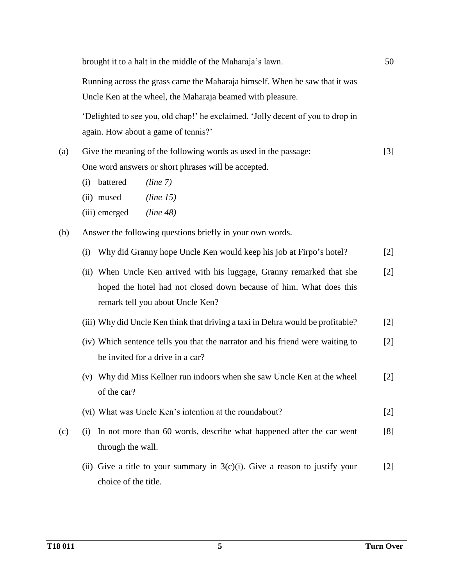|     | brought it to a halt in the middle of the Maharaja's lawn.                      | 50    |
|-----|---------------------------------------------------------------------------------|-------|
|     | Running across the grass came the Maharaja himself. When he saw that it was     |       |
|     | Uncle Ken at the wheel, the Maharaja beamed with pleasure.                      |       |
|     | 'Delighted to see you, old chap!' he exclaimed. 'Jolly decent of you to drop in |       |
|     | again. How about a game of tennis?'                                             |       |
| (a) | Give the meaning of the following words as used in the passage:                 | $[3]$ |
|     | One word answers or short phrases will be accepted.                             |       |
|     | battered<br>(line 7)<br>(i)                                                     |       |
|     | (ii) mused<br>(line 15)                                                         |       |
|     | (iii) emerged<br>(line 48)                                                      |       |
| (b) | Answer the following questions briefly in your own words.                       |       |
|     | Why did Granny hope Uncle Ken would keep his job at Firpo's hotel?<br>(i)       | $[2]$ |
|     | (ii) When Uncle Ken arrived with his luggage, Granny remarked that she          | $[2]$ |
|     | hoped the hotel had not closed down because of him. What does this              |       |
|     | remark tell you about Uncle Ken?                                                |       |
|     | (iii) Why did Uncle Ken think that driving a taxi in Dehra would be profitable? | $[2]$ |
|     | (iv) Which sentence tells you that the narrator and his friend were waiting to  | $[2]$ |
|     | be invited for a drive in a car?                                                |       |
|     | (v) Why did Miss Kellner run indoors when she saw Uncle Ken at the wheel        | $[2]$ |
|     | of the car?                                                                     |       |
|     | (vi) What was Uncle Ken's intention at the roundabout?                          | $[2]$ |
| (c) | In not more than 60 words, describe what happened after the car went<br>(i)     | [8]   |
|     | through the wall.                                                               |       |
|     | (ii) Give a title to your summary in $3(c)(i)$ . Give a reason to justify your  | $[2]$ |
|     | choice of the title.                                                            |       |
|     |                                                                                 |       |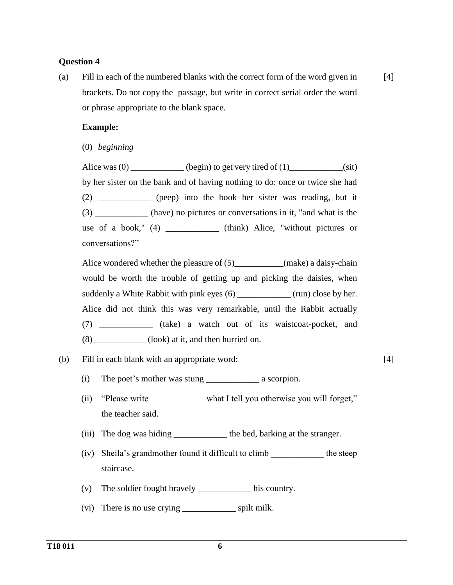#### **Question 4**

(a) Fill in each of the numbered blanks with the correct form of the word given in brackets. Do not copy the passage, but write in correct serial order the word or phrase appropriate to the blank space. [4]

#### **Example:**

(0) *beginning*

Alice was  $(0)$  \_\_\_\_\_\_\_\_\_\_\_\_ (begin) to get very tired of  $(1)$ \_\_\_\_\_\_\_\_\_\_\_(sit) by her sister on the bank and of having nothing to do: once or twice she had (2) \_\_\_\_\_\_\_\_\_\_\_\_ (peep) into the book her sister was reading, but it (3) \_\_\_\_\_\_\_\_\_\_\_\_ (have) no pictures or conversations in it, "and what is the use of a book," (4) \_\_\_\_\_\_\_\_\_\_\_\_ (think) Alice, "without pictures or conversations?"

Alice wondered whether the pleasure of (5)\_\_\_\_\_\_\_\_\_(make) a daisy-chain would be worth the trouble of getting up and picking the daisies, when suddenly a White Rabbit with pink eyes (6) (run) close by her. Alice did not think this was very remarkable, until the Rabbit actually (7) \_\_\_\_\_\_\_\_\_\_\_\_ (take) a watch out of its waistcoat-pocket, and (8)\_\_\_\_\_\_\_\_\_\_\_\_ (look) at it, and then hurried on.

## (b) Fill in each blank with an appropriate word: [4]

- (i) The poet's mother was stung \_\_\_\_\_\_\_\_\_\_\_\_ a scorpion.
- (ii) "Please write \_\_\_\_\_\_\_\_\_\_\_\_ what I tell you otherwise you will forget," the teacher said.
- (iii) The dog was hiding \_\_\_\_\_\_\_\_\_\_\_\_\_\_ the bed, barking at the stranger.
- (iv) Sheila's grandmother found it difficult to climb \_\_\_\_\_\_\_\_\_\_\_\_ the steep staircase.
- (v) The soldier fought bravely \_\_\_\_\_\_\_\_\_\_\_\_ his country.
- (vi) There is no use crying \_\_\_\_\_\_\_\_\_\_\_\_ spilt milk.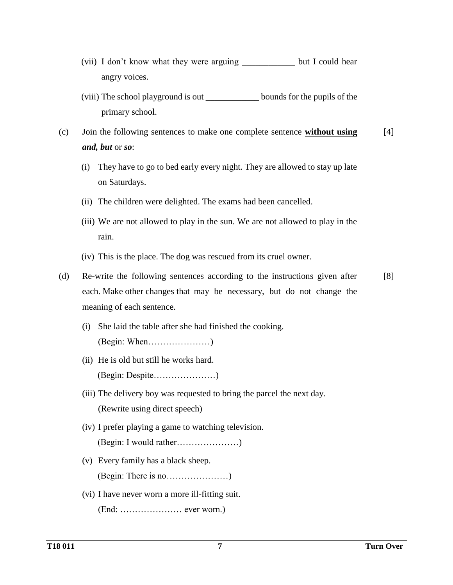- (vii) I don't know what they were arguing \_\_\_\_\_\_\_\_\_\_\_\_ but I could hear angry voices.
- (viii) The school playground is out \_\_\_\_\_\_\_\_\_\_\_\_ bounds for the pupils of the primary school.
- (c) Join the following sentences to make one complete sentence **without using** *and, but* or *so*: [4]
	- (i) They have to go to bed early every night. They are allowed to stay up late on Saturdays.
	- (ii) The children were delighted. The exams had been cancelled.
	- (iii) We are not allowed to play in the sun. We are not allowed to play in the rain.
	- (iv) This is the place. The dog was rescued from its cruel owner.
- (d) Re-write the following sentences according to the instructions given after each. Make other changes that may be necessary, but do not change the meaning of each sentence. [8]
	- (i) She laid the table after she had finished the cooking. (Begin: When…………………)
	- (ii) He is old but still he works hard. (Begin: Despite…………………)
	- (iii) The delivery boy was requested to bring the parcel the next day. (Rewrite using direct speech)
	- (iv) I prefer playing a game to watching television. (Begin: I would rather…………………)
	- (v) Every family has a black sheep. (Begin: There is no…………………)
	- (vi) I have never worn a more ill-fitting suit. (End: ………………… ever worn.)